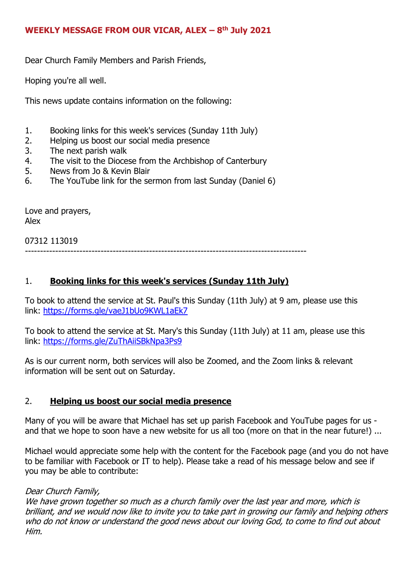### **WEEKLY MESSAGE FROM OUR VICAR, ALEX – 8 th July 2021**

Dear Church Family Members and Parish Friends,

Hoping you're all well.

This news update contains information on the following:

- 1. Booking links for this week's services (Sunday 11th July)
- 2. Helping us boost our social media presence
- 3. The next parish walk
- 4. The visit to the Diocese from the Archbishop of Canterbury
- 5. News from Jo & Kevin Blair
- 6. The YouTube link for the sermon from last Sunday (Daniel 6)

Love and prayers, Alex

07312 113019

---------------------------------------------------------------------------------------------

# 1. **Booking links for this week's services (Sunday 11th July)**

To book to attend the service at St. Paul's this Sunday (11th July) at 9 am, please use this link: <https://forms.gle/vaeJ1bUo9KWL1aEk7>

To book to attend the service at St. Mary's this Sunday (11th July) at 11 am, please use this link: <https://forms.gle/ZuThAiiSBkNpa3Ps9>

As is our current norm, both services will also be Zoomed, and the Zoom links & relevant information will be sent out on Saturday.

#### 2. **Helping us boost our social media presence**

Many of you will be aware that Michael has set up parish Facebook and YouTube pages for us and that we hope to soon have a new website for us all too (more on that in the near future!) ...

Michael would appreciate some help with the content for the Facebook page (and you do not have to be familiar with Facebook or IT to help). Please take a read of his message below and see if you may be able to contribute:

#### Dear Church Family,

We have grown together so much as a church family over the last year and more, which is brilliant, and we would now like to invite you to take part in growing our family and helping others who do not know or understand the good news about our loving God, to come to find out about Him.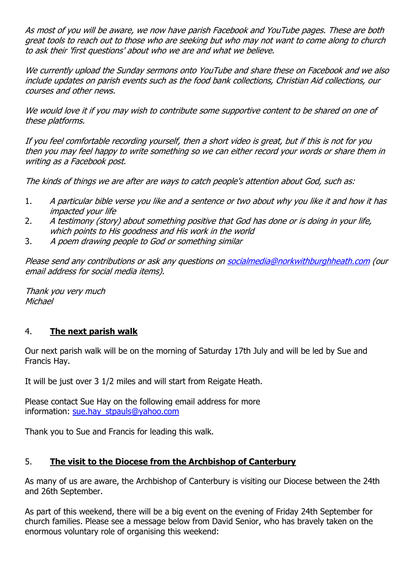As most of you will be aware, we now have parish Facebook and YouTube pages. These are both great tools to reach out to those who are seeking but who may not want to come along to church to ask their 'first questions' about who we are and what we believe.

We currently upload the Sunday sermons onto YouTube and share these on Facebook and we also include updates on parish events such as the food bank collections, Christian Aid collections, our courses and other news.

We would love it if you may wish to contribute some supportive content to be shared on one of these platforms.

If you feel comfortable recording yourself, then a short video is great, but if this is not for you then you may feel happy to write something so we can either record your words or share them in writing as a Facebook post.

The kinds of things we are after are ways to catch people's attention about God, such as:

- 1. A particular bible verse you like and a sentence or two about why you like it and how it has impacted your life
- 2. A testimony (story) about something positive that God has done or is doing in your life, which points to His goodness and His work in the world
- 3. A poem drawing people to God or something similar

Please send any contributions or ask any questions on [socialmedia@norkwithburghheath.com](mailto:socialmedia@norkwithburghheath.com) (our email address for social media items).

Thank you very much **Michael** 

# 4. **The next parish walk**

Our next parish walk will be on the morning of Saturday 17th July and will be led by Sue and Francis Hay.

It will be just over 3 1/2 miles and will start from Reigate Heath.

Please contact Sue Hay on the following email address for more information: [sue.hay\\_stpauls@yahoo.com](mailto:sue.hay_stpauls@yahoo.com)

Thank you to Sue and Francis for leading this walk.

# 5. **The visit to the Diocese from the Archbishop of Canterbury**

As many of us are aware, the Archbishop of Canterbury is visiting our Diocese between the 24th and 26th September.

As part of this weekend, there will be a big event on the evening of Friday 24th September for church families. Please see a message below from David Senior, who has bravely taken on the enormous voluntary role of organising this weekend: